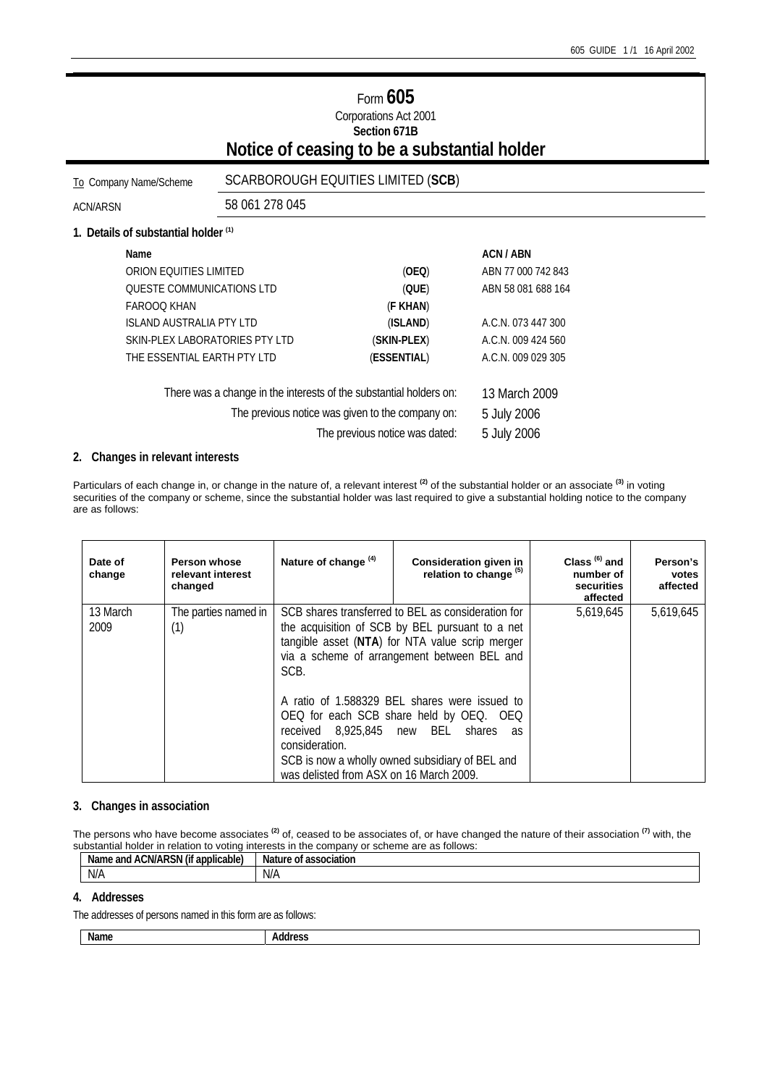# Form **605** Corporations Act 2001 **Section 671B Notice of ceasing to be a substantial holder**

# To Company Name/Scheme SCARBOROUGH EQUITIES LIMITED (**SCB**)

ACN/ARSN 58 061 278 045

### **1. Details of substantial holder (1)**

|                                | Name                                                               |               | ACN / ABN          |
|--------------------------------|--------------------------------------------------------------------|---------------|--------------------|
|                                | ORION EQUITIES LIMITED                                             | (OEQ)         | ABN 77 000 742 843 |
|                                | <b>OUESTE COMMUNICATIONS LTD</b>                                   | (QUE)         | ABN 58 081 688 164 |
|                                | <b>FAROOO KHAN</b>                                                 | (F KHAN)      |                    |
|                                | <b>ISLAND AUSTRALIA PTY LTD</b>                                    | (ISLAND)      | A.C.N. 073 447 300 |
|                                | SKIN-PLEX LABORATORIES PTY LTD                                     | (SKIN-PLEX)   | A.C.N. 009 424 560 |
|                                | THE ESSENTIAL EARTH PTY LTD                                        | (ESSENTIAL)   | A.C.N. 009 029 305 |
|                                | There was a change in the interests of the substantial holders on: | 13 March 2009 |                    |
|                                | The previous notice was given to the company on:                   | 5 July 2006   |                    |
| The previous notice was dated: |                                                                    |               | 5 July 2006        |

## **2. Changes in relevant interests**

Particulars of each change in, or change in the nature of, a relevant interest **(2)** of the substantial holder or an associate **(3)** in voting securities of the company or scheme, since the substantial holder was last required to give a substantial holding notice to the company are as follows:

| Date of<br>change | Person whose<br>relevant interest<br>changed | Nature of change <sup>(4)</sup>                                                                                                                                                                                 | <b>Consideration given in</b><br>relation to change <sup>(5)</sup>                                                                                                 | Class $(6)$ and<br>number of<br>securities<br>affected | Person's<br>votes<br>affected |
|-------------------|----------------------------------------------|-----------------------------------------------------------------------------------------------------------------------------------------------------------------------------------------------------------------|--------------------------------------------------------------------------------------------------------------------------------------------------------------------|--------------------------------------------------------|-------------------------------|
| 13 March<br>2009  | The parties named in<br>(1)                  | SCB shares transferred to BEL as consideration for<br>the acquisition of SCB by BEL pursuant to a net<br>tangible asset (NTA) for NTA value scrip merger<br>via a scheme of arrangement between BEL and<br>SCB. |                                                                                                                                                                    | 5,619,645                                              | 5,619,645                     |
|                   |                                              | 8.925.845 new BEL<br>received<br>consideration.<br>was delisted from ASX on 16 March 2009.                                                                                                                      | A ratio of 1.588329 BEL shares were issued to<br>OEQ for each SCB share held by OEQ. OEQ<br>shares<br><b>as</b><br>SCB is now a wholly owned subsidiary of BEL and |                                                        |                               |

## **3. Changes in association**

The persons who have become associates **(2)** of, ceased to be associates of, or have changed the nature of their association **(7)** with, the substantial holder in relation to voting interests in the company or scheme are as follows:

| $\cdots$<br>$\cdots$<br>ACN/ARSN<br>applicable<br>. and<br>Nai<br>- (11 | Nature<br>0t<br>association |
|-------------------------------------------------------------------------|-----------------------------|
| N/F                                                                     | N/A                         |

#### **4. Addresses**

The addresses of persons named in this form are as follows:

**Name Address**